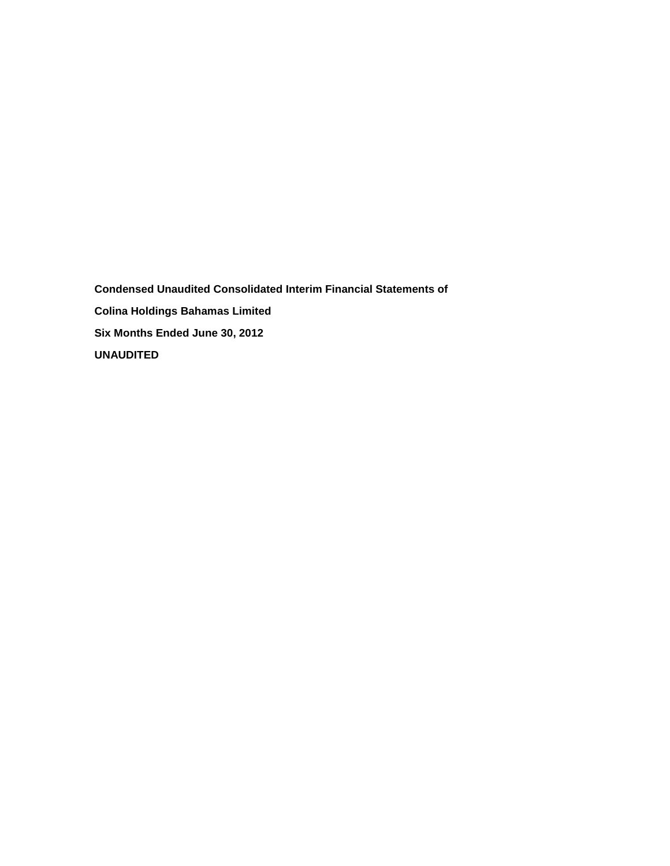**Condensed Unaudited Consolidated Interim Financial Statements of Colina Holdings Bahamas Limited Six Months Ended June 30, 2012 UNAUDITED**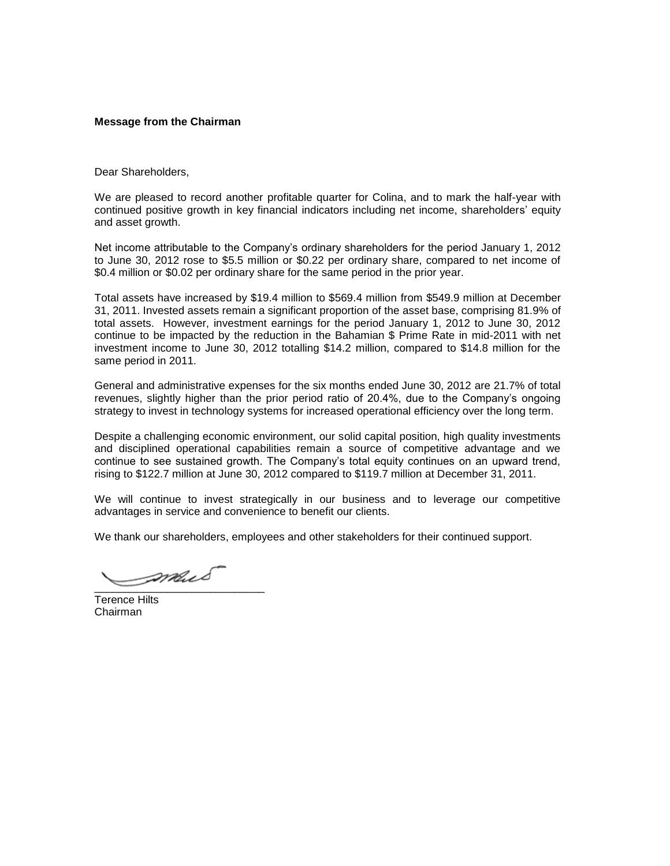## **Message from the Chairman**

Dear Shareholders,

We are pleased to record another profitable quarter for Colina, and to mark the half-year with continued positive growth in key financial indicators including net income, shareholders' equity and asset growth.

Net income attributable to the Company's ordinary shareholders for the period January 1, 2012 to June 30, 2012 rose to \$5.5 million or \$0.22 per ordinary share, compared to net income of \$0.4 million or \$0.02 per ordinary share for the same period in the prior year.

Total assets have increased by \$19.4 million to \$569.4 million from \$549.9 million at December 31, 2011. Invested assets remain a significant proportion of the asset base, comprising 81.9% of total assets. However, investment earnings for the period January 1, 2012 to June 30, 2012 continue to be impacted by the reduction in the Bahamian \$ Prime Rate in mid-2011 with net investment income to June 30, 2012 totalling \$14.2 million, compared to \$14.8 million for the same period in 2011.

General and administrative expenses for the six months ended June 30, 2012 are 21.7% of total revenues, slightly higher than the prior period ratio of 20.4%, due to the Company's ongoing strategy to invest in technology systems for increased operational efficiency over the long term.

Despite a challenging economic environment, our solid capital position, high quality investments and disciplined operational capabilities remain a source of competitive advantage and we continue to see sustained growth. The Company's total equity continues on an upward trend, rising to \$122.7 million at June 30, 2012 compared to \$119.7 million at December 31, 2011.

We will continue to invest strategically in our business and to leverage our competitive advantages in service and convenience to benefit our clients.

We thank our shareholders, employees and other stakeholders for their continued support.

\_\_\_\_\_\_\_\_\_\_\_\_\_\_\_\_\_\_\_\_\_\_\_\_\_\_\_\_

Terence Hilts Chairman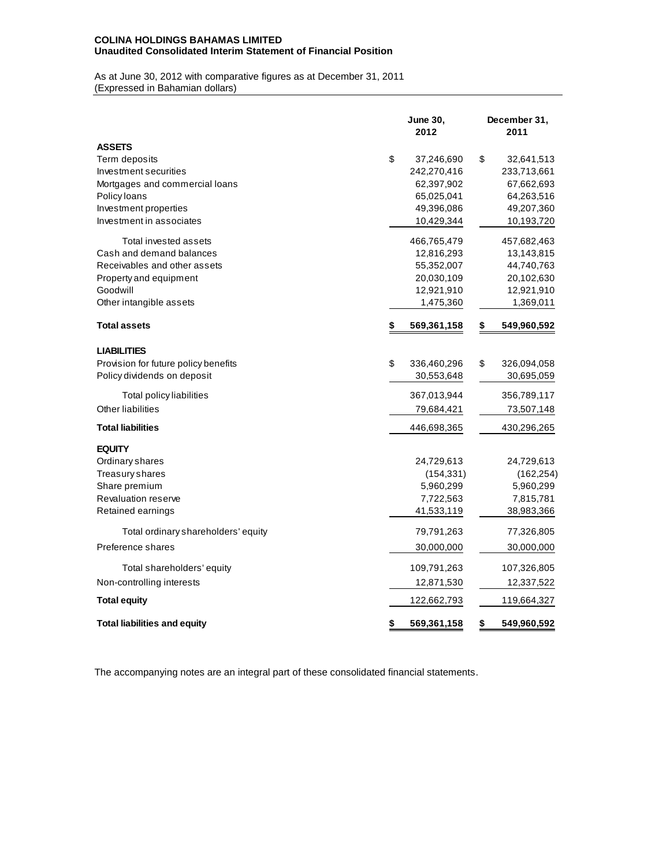## **COLINA HOLDINGS BAHAMAS LIMITED Unaudited Consolidated Interim Statement of Financial Position**

As at June 30, 2012 with comparative figures as at December 31, 2011 (Expressed in Bahamian dollars)

|                                      | <b>June 30,</b><br>2012 | December 31,<br>2011 |
|--------------------------------------|-------------------------|----------------------|
| <b>ASSETS</b>                        |                         |                      |
| Term deposits                        | \$<br>37,246,690        | \$<br>32,641,513     |
| Investment securities                | 242,270,416             | 233,713,661          |
| Mortgages and commercial loans       | 62,397,902              | 67,662,693           |
| Policy loans                         | 65,025,041              | 64,263,516           |
| Investment properties                | 49,396,086              | 49,207,360           |
| Investment in associates             | 10,429,344              | 10,193,720           |
| Total invested assets                | 466,765,479             | 457,682,463          |
| Cash and demand balances             | 12,816,293              | 13,143,815           |
| Receivables and other assets         | 55,352,007              | 44,740,763           |
| Property and equipment               | 20,030,109              | 20,102,630           |
| Goodwill                             | 12,921,910              | 12,921,910           |
| Other intangible assets              | 1,475,360               | 1,369,011            |
| <b>Total assets</b>                  | \$<br>569,361,158       | \$<br>549,960,592    |
| <b>LIABILITIES</b>                   |                         |                      |
| Provision for future policy benefits | \$<br>336,460,296       | \$<br>326,094,058    |
| Policy dividends on deposit          | 30,553,648              | 30,695,059           |
| Total policy liabilities             | 367,013,944             | 356,789,117          |
| Other liabilities                    | 79,684,421              | 73,507,148           |
| <b>Total liabilities</b>             | 446,698,365             | 430,296,265          |
| <b>EQUITY</b>                        |                         |                      |
| Ordinary shares                      | 24,729,613              | 24,729,613           |
| Treasury shares                      | (154, 331)              | (162, 254)           |
| Share premium                        | 5,960,299               | 5,960,299            |
| <b>Revaluation reserve</b>           | 7,722,563               | 7,815,781            |
| Retained earnings                    | 41,533,119              | 38,983,366           |
| Total ordinary shareholders' equity  | 79,791,263              | 77,326,805           |
| Preference shares                    | 30,000,000              | 30,000,000           |
| Total shareholders' equity           | 109,791,263             | 107,326,805          |
| Non-controlling interests            | 12,871,530              | 12,337,522           |
| <b>Total equity</b>                  | 122,662,793             | 119,664,327          |
| <b>Total liabilities and equity</b>  | \$<br>569,361,158       | \$<br>549,960,592    |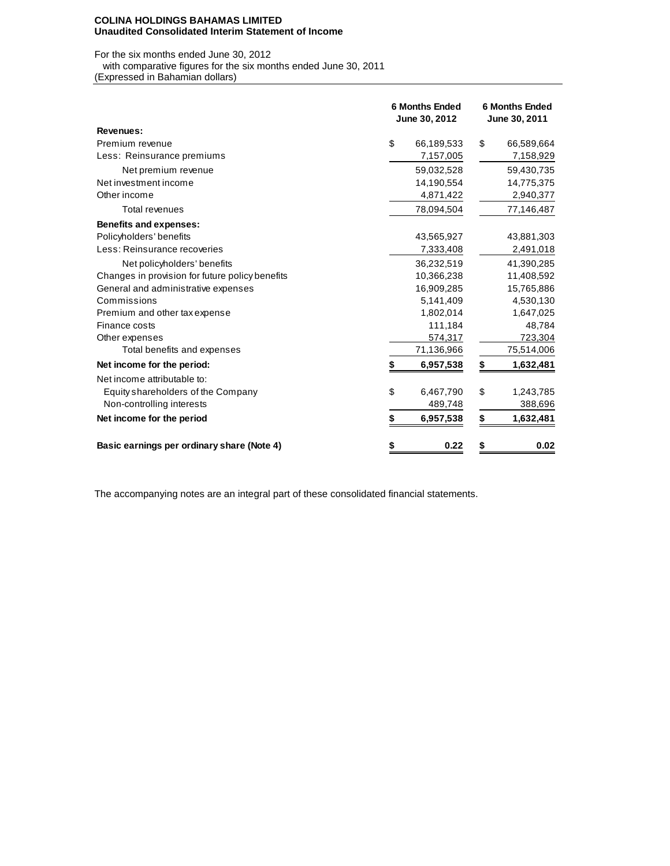#### **COLINA HOLDINGS BAHAMAS LIMITED Unaudited Consolidated Interim Statement of Income**

For the six months ended June 30, 2012

with comparative figures for the six months ended June 30, 2011

(Expressed in Bahamian dollars)

|                                                 |    | <b>6 Months Ended</b><br>June 30, 2012 | <b>6 Months Ended</b><br>June 30, 2011 |
|-------------------------------------------------|----|----------------------------------------|----------------------------------------|
| Revenues:                                       |    |                                        |                                        |
| Premium revenue                                 | \$ | 66,189,533                             | \$<br>66,589,664                       |
| Less: Reinsurance premiums                      |    | 7,157,005                              | 7,158,929                              |
| Net premium revenue                             |    | 59,032,528                             | 59,430,735                             |
| Net investment income                           |    | 14,190,554                             | 14,775,375                             |
| Other income                                    |    | 4,871,422                              | 2,940,377                              |
| <b>Total revenues</b>                           |    | 78,094,504                             | 77,146,487                             |
| <b>Benefits and expenses:</b>                   |    |                                        |                                        |
| Policyholders' benefits                         |    | 43,565,927                             | 43,881,303                             |
| Less: Reinsurance recoveries                    |    | 7,333,408                              | 2,491,018                              |
| Net policyholders' benefits                     |    | 36,232,519                             | 41,390,285                             |
| Changes in provision for future policy benefits |    | 10,366,238                             | 11,408,592                             |
| General and administrative expenses             |    | 16,909,285                             | 15,765,886                             |
| Commissions                                     |    | 5,141,409                              | 4,530,130                              |
| Premium and other tax expense                   |    | 1,802,014                              | 1,647,025                              |
| Finance costs                                   |    | 111,184                                | 48,784                                 |
| Other expenses                                  |    | 574,317                                | 723,304                                |
| Total benefits and expenses                     |    | 71,136,966                             | 75,514,006                             |
| Net income for the period:                      | \$ | 6,957,538                              | \$<br>1,632,481                        |
| Net income attributable to:                     |    |                                        |                                        |
| Equity shareholders of the Company              | \$ | 6,467,790                              | \$<br>1,243,785                        |
| Non-controlling interests                       |    | 489,748                                | 388,696                                |
| Net income for the period                       | S  | 6,957,538                              | \$<br>1,632,481                        |
| Basic earnings per ordinary share (Note 4)      | \$ | 0.22                                   | \$<br>0.02                             |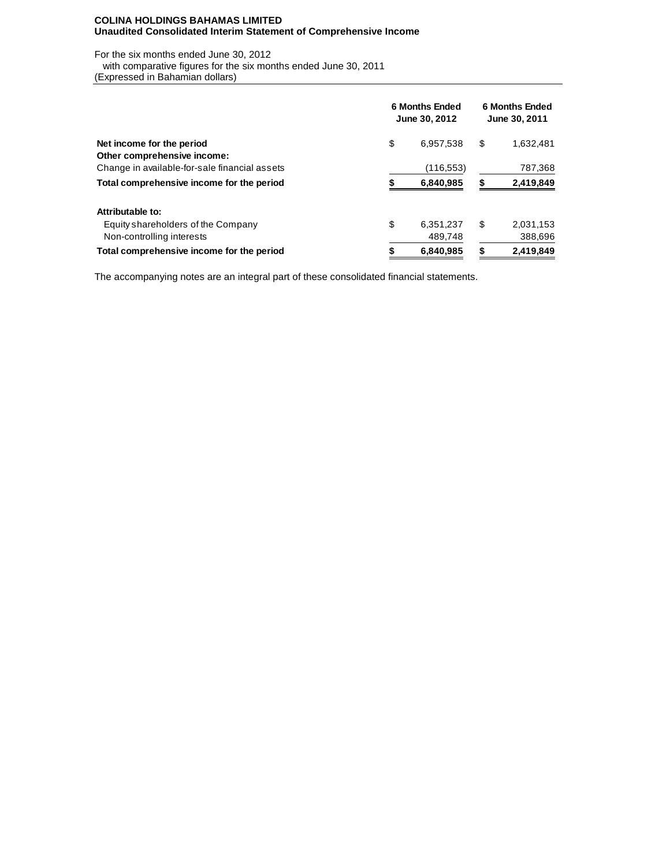## **COLINA HOLDINGS BAHAMAS LIMITED Unaudited Consolidated Interim Statement of Comprehensive Income**

For the six months ended June 30, 2012 with comparative figures for the six months ended June 30, 2011

(Expressed in Bahamian dollars)

|                                               | <b>6 Months Ended</b><br>June 30, 2012 | <b>6 Months Ended</b><br>June 30, 2011 |
|-----------------------------------------------|----------------------------------------|----------------------------------------|
| Net income for the period                     | \$<br>6,957,538                        | \$<br>1,632,481                        |
| Other comprehensive income:                   |                                        |                                        |
| Change in available-for-sale financial assets | (116,553)                              | 787,368                                |
| Total comprehensive income for the period     | 6,840,985                              | 2,419,849                              |
| Attributable to:                              |                                        |                                        |
| Equity shareholders of the Company            | \$<br>6.351.237                        | \$<br>2,031,153                        |
| Non-controlling interests                     | 489.748                                | 388,696                                |
| Total comprehensive income for the period     | 6,840,985                              | 2,419,849                              |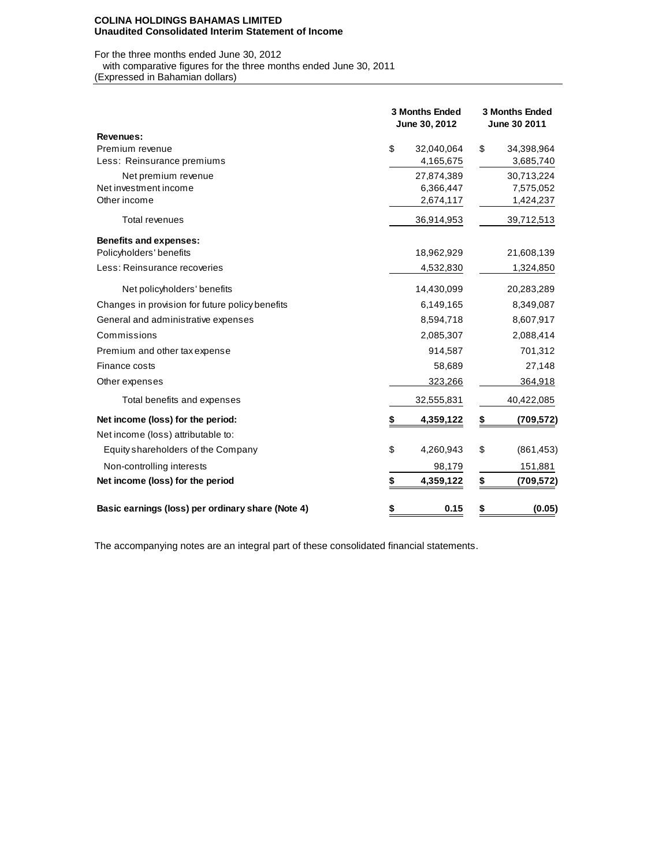### **COLINA HOLDINGS BAHAMAS LIMITED Unaudited Consolidated Interim Statement of Income**

For the three months ended June 30, 2012 with comparative figures for the three months ended June 30, 2011

(Expressed in Bahamian dollars)

|                                                   | <b>3 Months Ended</b><br>June 30, 2012 |    | <b>3 Months Ended</b><br>June 30 2011 |
|---------------------------------------------------|----------------------------------------|----|---------------------------------------|
| Revenues:                                         |                                        |    |                                       |
| Premium revenue                                   | \$<br>32,040,064                       | \$ | 34,398,964                            |
| Less: Reinsurance premiums                        | 4,165,675                              |    | 3,685,740                             |
| Net premium revenue                               | 27,874,389                             |    | 30,713,224                            |
| Net investment income                             | 6,366,447                              |    | 7,575,052                             |
| Other income                                      | 2,674,117                              |    | 1,424,237                             |
| <b>Total revenues</b>                             | 36,914,953                             |    | 39,712,513                            |
| <b>Benefits and expenses:</b>                     |                                        |    |                                       |
| Policyholders' benefits                           | 18,962,929                             |    | 21,608,139                            |
| Less: Reinsurance recoveries                      | 4,532,830                              |    | 1,324,850                             |
| Net policyholders' benefits                       | 14,430,099                             |    | 20,283,289                            |
| Changes in provision for future policy benefits   | 6,149,165                              |    | 8,349,087                             |
| General and administrative expenses               | 8,594,718                              |    | 8,607,917                             |
| Commissions                                       | 2,085,307                              |    | 2,088,414                             |
| Premium and other tax expense                     | 914,587                                |    | 701,312                               |
| Finance costs                                     | 58,689                                 |    | 27,148                                |
| Other expenses                                    | 323,266                                |    | 364,918                               |
| Total benefits and expenses                       | 32,555,831                             |    | 40,422,085                            |
| Net income (loss) for the period:                 | 4,359,122                              | \$ | (709,572)                             |
| Net income (loss) attributable to:                |                                        |    |                                       |
| Equity shareholders of the Company                | \$<br>4,260,943                        | \$ | (861, 453)                            |
| Non-controlling interests                         | 98,179                                 |    | 151,881                               |
| Net income (loss) for the period                  | \$<br>4,359,122                        | \$ | (709,572)                             |
| Basic earnings (loss) per ordinary share (Note 4) | \$<br>0.15                             | S  | (0.05)                                |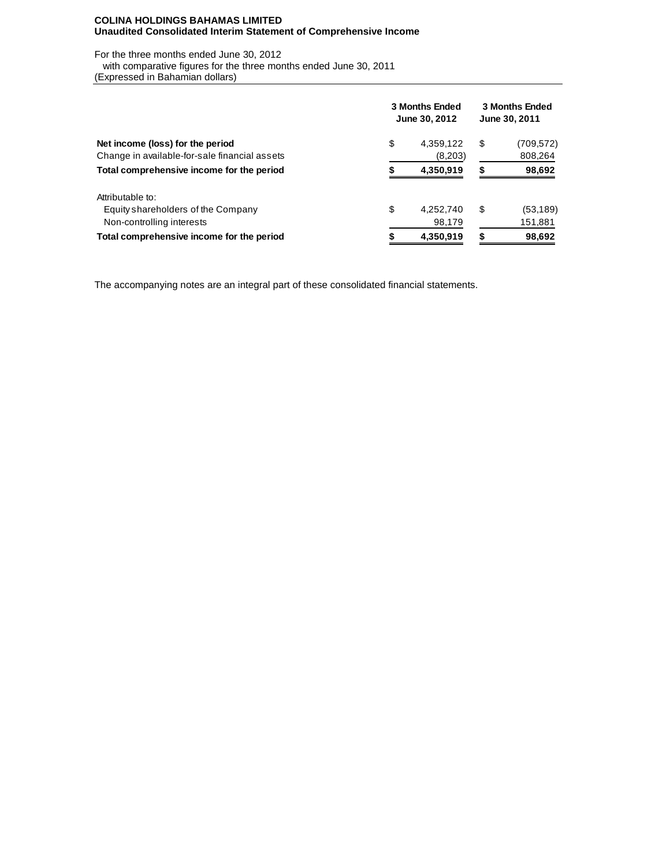## **COLINA HOLDINGS BAHAMAS LIMITED Unaudited Consolidated Interim Statement of Comprehensive Income**

For the three months ended June 30, 2012

with comparative figures for the three months ended June 30, 2011

(Expressed in Bahamian dollars)

|                                                                                     | 3 Months Ended<br>June 30, 2012 |    | <b>3 Months Ended</b><br>June 30, 2011 |
|-------------------------------------------------------------------------------------|---------------------------------|----|----------------------------------------|
| Net income (loss) for the period<br>Change in available-for-sale financial assets   | \$<br>4,359,122<br>(8,203)      | \$ | (709, 572)<br>808,264                  |
| Total comprehensive income for the period                                           | 4,350,919                       | S  | 98,692                                 |
| Attributable to:<br>Equity shareholders of the Company<br>Non-controlling interests | \$<br>4,252,740<br>98,179       | S  | (53, 189)<br>151,881                   |
| Total comprehensive income for the period                                           | 4,350,919                       |    | 98,692                                 |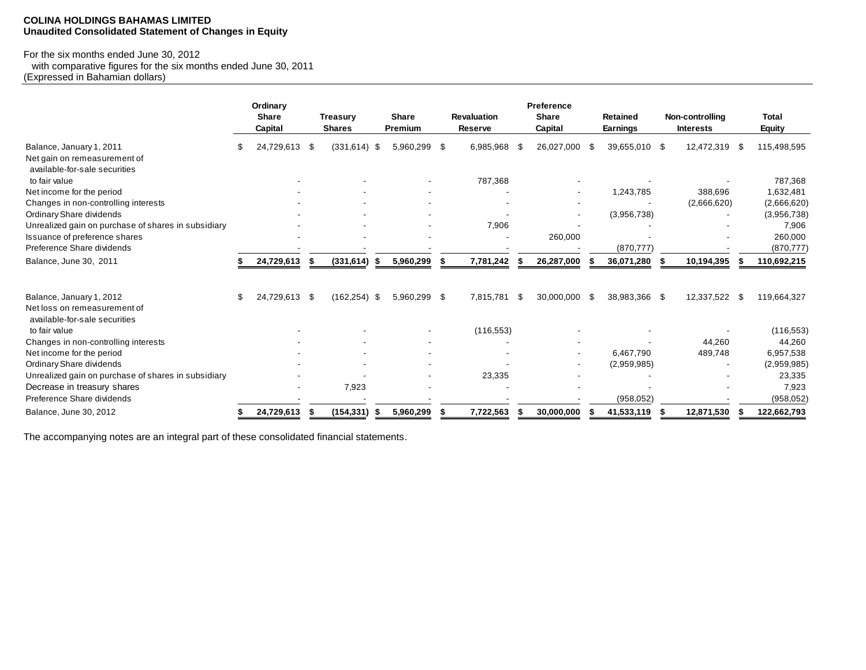## **COLINA HOLDINGS BAHAMAS LIMITED Unaudited Consolidated Statement of Changes in Equity**

# For the six months ended June 30, 2012

 with comparative figures for the six months ended June 30, 2011 (Expressed in Bahamian dollars)

|                                                             |     | Ordinary<br><b>Share</b><br>Capital |      | <b>Treasury</b><br><b>Shares</b> |     | <b>Share</b><br>Premium | <b>Revaluation</b><br><b>Reserve</b> |     | Preference<br><b>Share</b><br>Capital |    | <b>Retained</b><br>Earnings |     | Non-controlling<br><b>Interests</b> |      | <b>Total</b><br><b>Equity</b> |
|-------------------------------------------------------------|-----|-------------------------------------|------|----------------------------------|-----|-------------------------|--------------------------------------|-----|---------------------------------------|----|-----------------------------|-----|-------------------------------------|------|-------------------------------|
| Balance, January 1, 2011                                    | \$. | 24,729,613                          | - \$ | $(331, 614)$ \$                  |     | 5,960,299 \$            | 6,985,968                            | -\$ | 26,027,000                            | -S | 39,655,010 \$               |     | 12,472,319                          | - \$ | 115,498,595                   |
| Net gain on remeasurement of                                |     |                                     |      |                                  |     |                         |                                      |     |                                       |    |                             |     |                                     |      |                               |
| available-for-sale securities                               |     |                                     |      |                                  |     |                         |                                      |     |                                       |    |                             |     |                                     |      |                               |
| to fair value                                               |     |                                     |      |                                  |     |                         | 787,368                              |     |                                       |    |                             |     |                                     |      | 787,368                       |
| Net income for the period                                   |     |                                     |      |                                  |     |                         |                                      |     |                                       |    | 1,243,785                   |     | 388,696                             |      | 1,632,481                     |
| Changes in non-controlling interests                        |     |                                     |      |                                  |     |                         |                                      |     |                                       |    |                             |     | (2,666,620)                         |      | (2,666,620)                   |
| Ordinary Share dividends                                    |     |                                     |      |                                  |     |                         |                                      |     |                                       |    | (3,956,738)                 |     |                                     |      | (3,956,738)                   |
| Unrealized gain on purchase of shares in subsidiary         |     |                                     |      |                                  |     |                         | 7,906                                |     |                                       |    |                             |     |                                     |      | 7,906                         |
| Issuance of preference shares<br>Preference Share dividends |     |                                     |      |                                  |     |                         |                                      |     | 260,000                               |    | (870, 777)                  |     |                                     |      | 260,000                       |
|                                                             |     |                                     |      |                                  |     |                         |                                      |     |                                       |    |                             |     |                                     |      | (870, 777)                    |
| Balance, June 30, 2011                                      |     | 24,729,613                          |      | (331, 614)                       | -55 | 5,960,299               | 7,781,242                            |     | 26,287,000                            |    | 36,071,280                  |     | 10,194,395                          |      | 110,692,215                   |
| Balance, January 1, 2012                                    | \$  | 24,729,613 \$                       |      | $(162, 254)$ \$                  |     | 5,960,299 \$            | 7,815,781                            | \$  | 30,000,000                            | \$ | 38,983,366 \$               |     | 12,337,522 \$                       |      | 119,664,327                   |
| Net loss on remeasurement of                                |     |                                     |      |                                  |     |                         |                                      |     |                                       |    |                             |     |                                     |      |                               |
| available-for-sale securities                               |     |                                     |      |                                  |     |                         |                                      |     |                                       |    |                             |     |                                     |      |                               |
| to fair value                                               |     |                                     |      |                                  |     |                         | (116, 553)                           |     |                                       |    |                             |     |                                     |      | (116, 553)                    |
| Changes in non-controlling interests                        |     |                                     |      |                                  |     |                         |                                      |     |                                       |    |                             |     | 44,260                              |      | 44,260                        |
| Net income for the period                                   |     |                                     |      |                                  |     |                         |                                      |     |                                       |    | 6,467,790                   |     | 489,748                             |      | 6,957,538                     |
| Ordinary Share dividends                                    |     |                                     |      |                                  |     |                         |                                      |     | $\overline{\phantom{a}}$              |    | (2,959,985)                 |     |                                     |      | (2,959,985)                   |
| Unrealized gain on purchase of shares in subsidiary         |     |                                     |      |                                  |     |                         | 23,335                               |     |                                       |    |                             |     |                                     |      | 23,335                        |
| Decrease in treasury shares                                 |     |                                     |      | 7,923                            |     |                         |                                      |     |                                       |    |                             |     |                                     |      | 7,923                         |
| Preference Share dividends                                  |     |                                     |      |                                  |     |                         |                                      |     |                                       |    | (958, 052)                  |     |                                     |      | (958, 052)                    |
| Balance, June 30, 2012                                      | S   | 24,729,613                          | - 5  | (154,331)                        | 5   | 5,960,299               | 7,722,563                            | ж   | 30,000,000                            |    | 41,533,119                  | - 5 | 12,871,530                          |      | 122,662,793                   |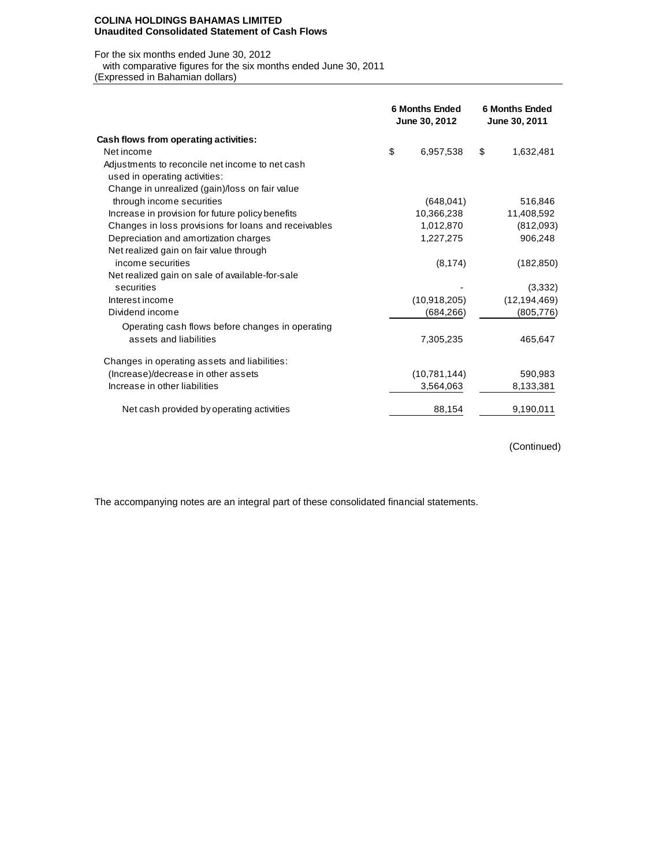#### **COLINA HOLDINGS BAHAMAS LIMITED Unaudited Consolidated Statement of Cash Flows**

#### For the six months ended June 30, 2012

with comparative figures for the six months ended June 30, 2011

(Expressed in Bahamian dollars)

|                                                      | <b>6 Months Ended</b><br>June 30, 2012 | <b>6 Months Ended</b><br>June 30, 2011 |
|------------------------------------------------------|----------------------------------------|----------------------------------------|
| Cash flows from operating activities:                |                                        |                                        |
| Net income                                           | \$<br>6,957,538                        | \$<br>1,632,481                        |
| Adjustments to reconcile net income to net cash      |                                        |                                        |
| used in operating activities:                        |                                        |                                        |
| Change in unrealized (gain)/loss on fair value       |                                        |                                        |
| through income securities                            | (648, 041)                             | 516,846                                |
| Increase in provision for future policy benefits     | 10,366,238                             | 11,408,592                             |
| Changes in loss provisions for loans and receivables | 1,012,870                              | (812,093)                              |
| Depreciation and amortization charges                | 1,227,275                              | 906,248                                |
| Net realized gain on fair value through              |                                        |                                        |
| income securities                                    | (8, 174)                               | (182, 850)                             |
| Net realized gain on sale of available-for-sale      |                                        |                                        |
| securities                                           |                                        | (3,332)                                |
| Interest income                                      | (10,918,205)                           | (12, 194, 469)                         |
| Dividend income                                      | (684, 266)                             | (805, 776)                             |
| Operating cash flows before changes in operating     |                                        |                                        |
| assets and liabilities                               | 7,305,235                              | 465,647                                |
| Changes in operating assets and liabilities:         |                                        |                                        |
| (Increase)/decrease in other assets                  | (10,781,144)                           | 590,983                                |
| Increase in other liabilities                        | 3,564,063                              | 8,133,381                              |
| Net cash provided by operating activities            | 88,154                                 | 9,190,011                              |

(Continued)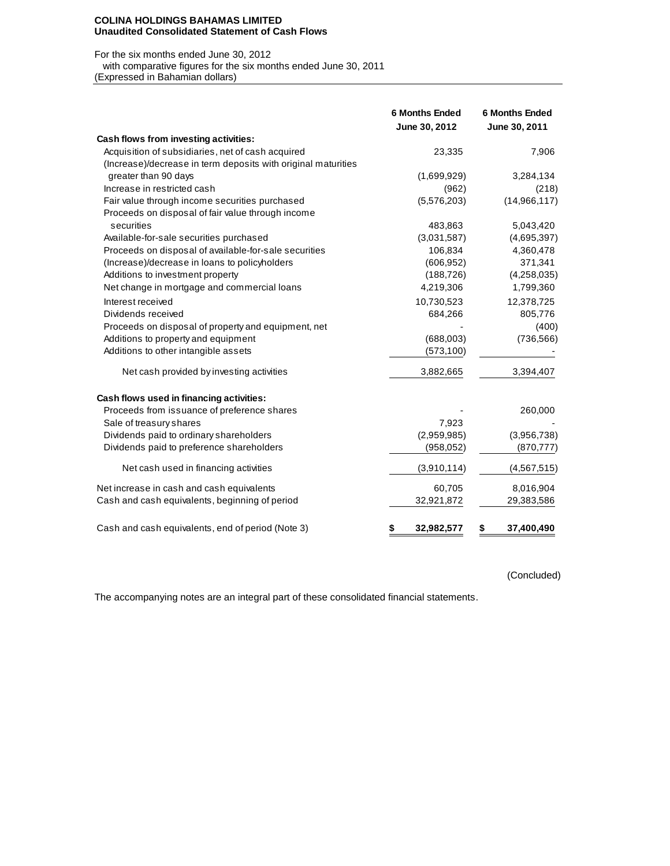#### **COLINA HOLDINGS BAHAMAS LIMITED Unaudited Consolidated Statement of Cash Flows**

#### For the six months ended June 30, 2012

 with comparative figures for the six months ended June 30, 2011 (Expressed in Bahamian dollars)

|                                                               | <b>6 Months Ended</b><br>June 30, 2012 | <b>6 Months Ended</b><br>June 30, 2011 |
|---------------------------------------------------------------|----------------------------------------|----------------------------------------|
| Cash flows from investing activities:                         |                                        |                                        |
| Acquisition of subsidiaries, net of cash acquired             | 23,335                                 | 7,906                                  |
| (Increase)/decrease in term deposits with original maturities |                                        |                                        |
| greater than 90 days                                          | (1,699,929)                            | 3,284,134                              |
| Increase in restricted cash                                   | (962)                                  | (218)                                  |
| Fair value through income securities purchased                | (5,576,203)                            | (14,966,117)                           |
| Proceeds on disposal of fair value through income             |                                        |                                        |
| securities                                                    | 483,863                                | 5,043,420                              |
| Available-for-sale securities purchased                       | (3,031,587)                            | (4,695,397)                            |
| Proceeds on disposal of available-for-sale securities         | 106,834                                | 4,360,478                              |
| (Increase)/decrease in loans to policyholders                 | (606, 952)                             | 371,341                                |
| Additions to investment property                              | (188, 726)                             | (4,258,035)                            |
| Net change in mortgage and commercial loans                   | 4,219,306                              | 1,799,360                              |
| Interest received                                             | 10,730,523                             | 12,378,725                             |
| Dividends received                                            | 684,266                                | 805,776                                |
| Proceeds on disposal of property and equipment, net           |                                        | (400)                                  |
| Additions to property and equipment                           | (688,003)                              | (736, 566)                             |
| Additions to other intangible assets                          | (573, 100)                             |                                        |
| Net cash provided by investing activities                     | 3,882,665                              | 3,394,407                              |
| Cash flows used in financing activities:                      |                                        |                                        |
| Proceeds from issuance of preference shares                   |                                        | 260,000                                |
| Sale of treasury shares                                       | 7,923                                  |                                        |
| Dividends paid to ordinary shareholders                       | (2,959,985)                            | (3,956,738)                            |
| Dividends paid to preference shareholders                     | (958, 052)                             | (870, 777)                             |
| Net cash used in financing activities                         | (3,910,114)                            | (4, 567, 515)                          |
| Net increase in cash and cash equivalents                     | 60,705                                 | 8,016,904                              |
| Cash and cash equivalents, beginning of period                | 32,921,872                             | 29,383,586                             |
| Cash and cash equivalents, end of period (Note 3)             | \$<br>32,982,577                       | \$<br>37,400,490                       |

(Concluded)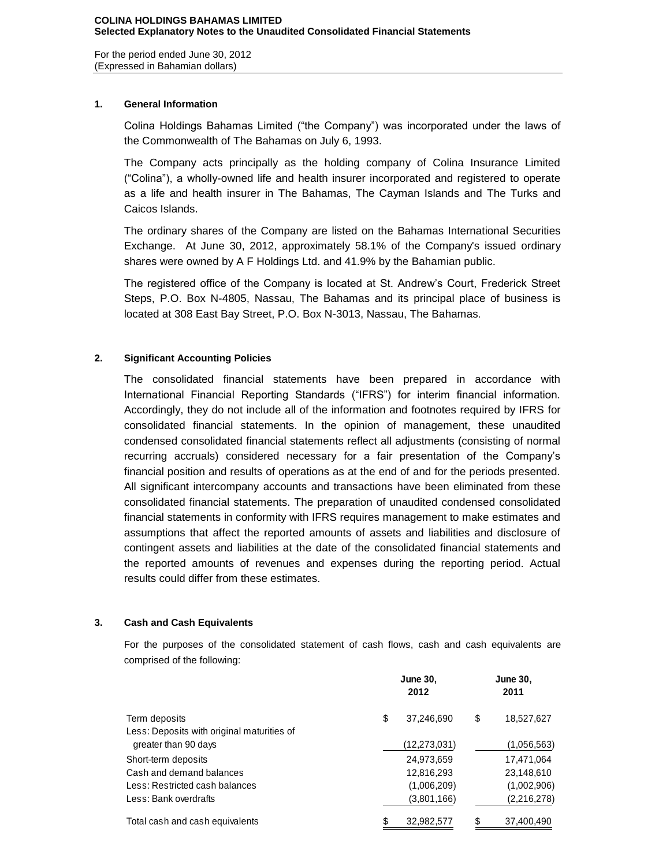For the period ended June 30, 2012 (Expressed in Bahamian dollars)

## **1. General Information**

Colina Holdings Bahamas Limited ("the Company") was incorporated under the laws of the Commonwealth of The Bahamas on July 6, 1993.

The Company acts principally as the holding company of Colina Insurance Limited ("Colina"), a wholly-owned life and health insurer incorporated and registered to operate as a life and health insurer in The Bahamas, The Cayman Islands and The Turks and Caicos Islands.

The ordinary shares of the Company are listed on the Bahamas International Securities Exchange. At June 30, 2012, approximately 58.1% of the Company's issued ordinary shares were owned by A F Holdings Ltd. and 41.9% by the Bahamian public.

The registered office of the Company is located at St. Andrew's Court, Frederick Street Steps, P.O. Box N-4805, Nassau, The Bahamas and its principal place of business is located at 308 East Bay Street, P.O. Box N-3013, Nassau, The Bahamas.

# **2. Significant Accounting Policies**

The consolidated financial statements have been prepared in accordance with International Financial Reporting Standards ("IFRS") for interim financial information. Accordingly, they do not include all of the information and footnotes required by IFRS for consolidated financial statements. In the opinion of management, these unaudited condensed consolidated financial statements reflect all adjustments (consisting of normal recurring accruals) considered necessary for a fair presentation of the Company's financial position and results of operations as at the end of and for the periods presented. All significant intercompany accounts and transactions have been eliminated from these consolidated financial statements. The preparation of unaudited condensed consolidated financial statements in conformity with IFRS requires management to make estimates and assumptions that affect the reported amounts of assets and liabilities and disclosure of contingent assets and liabilities at the date of the consolidated financial statements and the reported amounts of revenues and expenses during the reporting period. Actual results could differ from these estimates.

## **3. Cash and Cash Equivalents**

For the purposes of the consolidated statement of cash flows, cash and cash equivalents are comprised of the following:

|                                            | <b>June 30,</b><br>2012 | <b>June 30,</b><br>2011 |
|--------------------------------------------|-------------------------|-------------------------|
| Term deposits                              | \$<br>37,246,690        | \$<br>18,527,627        |
| Less: Deposits with original maturities of |                         |                         |
| greater than 90 days                       | (12,273,031)            | (1,056,563)             |
| Short-term deposits                        | 24,973,659              | 17,471,064              |
| Cash and demand balances                   | 12,816,293              | 23,148,610              |
| Less: Restricted cash balances             | (1,006,209)             | (1,002,906)             |
| Less: Bank overdrafts                      | (3,801,166)             | (2,216,278)             |
| Total cash and cash equivalents            | 32,982,577              | 37,400,490              |